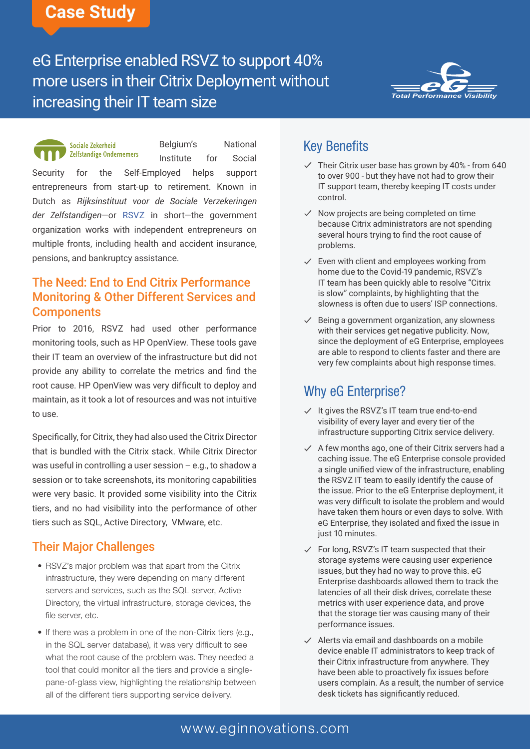## **Case Study**

# eG Enterprise enabled RSVZ to support 40% more users in their Citrix Deployment without increasing their IT team size



Belgium's National Sociale Zekerheid **Zelfstandige Ondernemers** Institute for Social Security for the Self-Employed helps support entrepreneurs from start-up to retirement. Known in Dutch as *Rijksinstituut voor de Sociale Verzekeringen der Zelfstandigen*—or [RSVZ](http://www.rsvz-inasti.fgov.be/) in short—the government organization works with independent entrepreneurs on multiple fronts, including health and accident insurance, pensions, and bankruptcy assistance.

#### The Need: End to End Citrix Performance Monitoring & Other Different Services and **Components**

Prior to 2016, RSVZ had used other performance monitoring tools, such as HP OpenView. These tools gave their IT team an overview of the infrastructure but did not provide any ability to correlate the metrics and find the root cause. HP OpenView was very difficult to deploy and maintain, as it took a lot of resources and was not intuitive to use.

Specifically, for Citrix, they had also used the Citrix Director that is bundled with the Citrix stack. While Citrix Director was useful in controlling a user session – e.g., to shadow a session or to take screenshots, its monitoring capabilities were very basic. It provided some visibility into the Citrix tiers, and no had visibility into the performance of other tiers such as SQL, Active Directory, VMware, etc.

#### Their Major Challenges

- RSVZ's major problem was that apart from the Citrix infrastructure, they were depending on many different servers and services, such as the SQL server, Active Directory, the virtual infrastructure, storage devices, the file server, etc.
- If there was a problem in one of the non-Citrix tiers (e.g., in the SQL server database), it was very difficult to see what the root cause of the problem was. They needed a tool that could monitor all the tiers and provide a singlepane-of-glass view, highlighting the relationship between all of the different tiers supporting service delivery.

### Key Benefits

- $\checkmark$  Their Citrix user base has grown by 40% from 640 to over 900 - but they have not had to grow their IT support team, thereby keeping IT costs under control.
- $\checkmark$  Now projects are being completed on time because Citrix administrators are not spending several hours trying to find the root cause of problems.
- $\checkmark$  Even with client and employees working from home due to the Covid-19 pandemic, RSVZ's IT team has been quickly able to resolve "Citrix is slow" complaints, by highlighting that the slowness is often due to users' ISP connections.
- $\checkmark$  Being a government organization, any slowness with their services get negative publicity. Now, since the deployment of eG Enterprise, employees are able to respond to clients faster and there are very few complaints about high response times.

### Why eG Enterprise?

- $\checkmark$  It gives the RSVZ's IT team true end-to-end visibility of every layer and every tier of the infrastructure supporting Citrix service delivery.
- $\checkmark$  A few months ago, one of their Citrix servers had a caching issue. The eG Enterprise console provided a single unified view of the infrastructure, enabling the RSVZ IT team to easily identify the cause of the issue. Prior to the eG Enterprise deployment, it was very difficult to isolate the problem and would have taken them hours or even days to solve. With eG Enterprise, they isolated and fixed the issue in just 10 minutes.
- $\checkmark$  For long, RSVZ's IT team suspected that their storage systems were causing user experience issues, but they had no way to prove this. eG Enterprise dashboards allowed them to track the latencies of all their disk drives, correlate these metrics with user experience data, and prove that the storage tier was causing many of their performance issues.
- $\checkmark$  Alerts via email and dashboards on a mobile device enable IT administrators to keep track of their Citrix infrastructure from anywhere. They have been able to proactively fix issues before users complain. As a result, the number of service desk tickets has significantly reduced.

### [www.eginnovations.com](https://www.eginnovations.com)